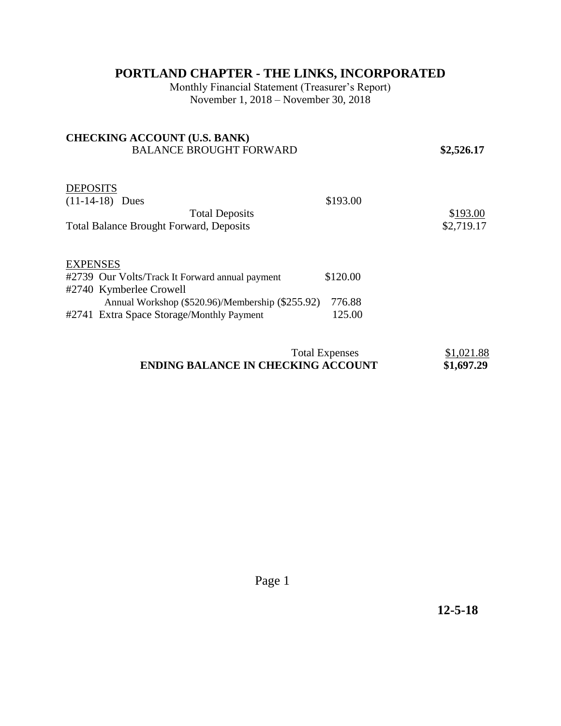## **PORTLAND CHAPTER - THE LINKS, INCORPORATED**

Monthly Financial Statement (Treasurer's Report) November 1, 2018 – November 30, 2018

| <b>CHECKING ACCOUNT (U.S. BANK)</b>              |                       |            |
|--------------------------------------------------|-----------------------|------------|
| <b>BALANCE BROUGHT FORWARD</b>                   |                       | \$2,526.17 |
| <b>DEPOSITS</b>                                  |                       |            |
| $(11-14-18)$ Dues                                | \$193.00              |            |
| <b>Total Deposits</b>                            |                       | \$193.00   |
| <b>Total Balance Brought Forward, Deposits</b>   |                       | \$2,719.17 |
|                                                  |                       |            |
| <b>EXPENSES</b>                                  |                       |            |
| #2739 Our Volts/Track It Forward annual payment  | \$120.00              |            |
| #2740 Kymberlee Crowell                          |                       |            |
| Annual Workshop (\$520.96)/Membership (\$255.92) | 776.88                |            |
| #2741 Extra Space Storage/Monthly Payment        | 125.00                |            |
|                                                  |                       |            |
|                                                  | <b>Total Expenses</b> | \$1,021.88 |

## **ENDING BALANCE IN CHECKING ACCOUNT \$1,697.29**

Page 1

 **12-5-18**